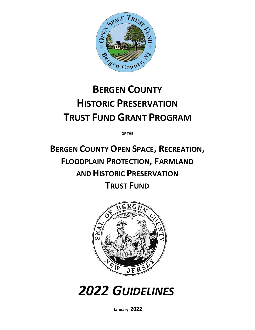

# **BERGEN COUNTY HISTORIC PRESERVATION TRUST FUND GRANT PROGRAM**

**OF THE**

**BERGEN COUNTY OPEN SPACE, RECREATION, FLOODPLAIN PROTECTION, FARMLAND AND HISTORIC PRESERVATION TRUST FUND**



*2022 GUIDELINES*

**January 2022**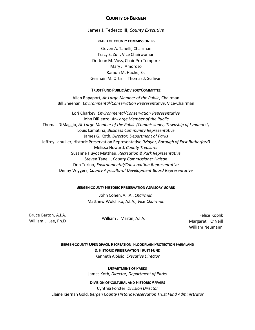### **COUNTY OF BERGEN**

James J. Tedesco III, *County Executive*

#### **BOARD OF COUNTY COMMISSIONERS**

Steven A. Tanelli, Chairman Tracy S. Zur , Vice Chairwoman Dr. Joan M. Voss, Chair Pro Tempore Mary J. Amoroso Ramon M. Hache, Sr. Germain M. Ortiz Thomas J. Sullivan

#### **TRUST FUND PUBLICADVISORYCOMMITTEE**

Allen Rapaport, *At-Large Member of the Public,* Chairman Bill Sheehan, *Environmental/Conservation Representative*, Vice-Chairman

Lori Charkey, *Environmental/Conservation Representative* John DiRienzo, *At-Large Member of the Public* Thomas DiMaggio, *At-Large Member of the Public (Commissioner, Township of Lyndhurst)* Louis Lamatina, *Business Community Representative* James G. Koth, *Director, Department of Parks* Jeffrey Lahullier, Historic Preservation Representative *(Mayor, Borough of East Rutherford)* Melissa Howard, *County Treasurer* Suzanne Huyot Matthau, *Recreation & Park Representative* Steven Tanelli, *County Commissioner Liaison* Don Torino, *Environmental/Conservation Representative* Denny Wiggers, *County Agricultural Development Board Representative*

#### **BERGEN COUNTY HISTORIC PRESERVATION ADVISORY BOARD**

John Cohen, A.I.A., *Chairman* Matthew Wolchiko, A.I.A., *Vice Chairman*

Bruce Barton, A.I.A. William L. Lee, Ph.D William J. Martin, A.I.A. Felice Koplik

Margaret O'Neill William Neumann

**BERGEN COUNTY OPENSPACE, RECREATION, FLOODPLAIN PROTECTION FARMLAND & HISTORIC PRESERVATION TRUST FUND** Kenneth Aloisio, *Executive Director*

> **DEPARTMENT OF PARKS** James Koth, *Director, Department of Parks*

**DIVISION OF CULTURAL AND HISTORIC AFFAIRS** Cynthia Forster, *Division Director* Elaine Kiernan Gold, *Bergen County Historic Preservation Trust Fund Administrator*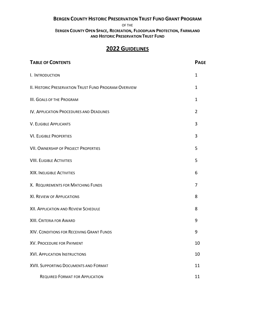## **BERGEN COUNTY HISTORIC PRESERVATION TRUST FUNDGRANT PROGRAM**

OF THE

B**ERGEN COUNTY OPEN SPACE, RECREATION, FLOODPLAIN PROTECTION, FARMLAND AND HISTORIC PRESERVATION TRUST FUND**

## **2022 GUIDELINES**

| <b>TABLE OF CONTENTS</b>                                     | <b>PAGE</b>    |
|--------------------------------------------------------------|----------------|
| I. INTRODUCTION                                              | 1              |
| <b>II. HISTORIC PRESERVATION TRUST FUND PROGRAM OVERVIEW</b> | 1              |
| <b>III. GOALS OF THE PROGRAM</b>                             | 1              |
| IV. APPLICATION PROCEDURES AND DEADLINES                     | $\overline{2}$ |
| <b>V. ELIGIBLE APPLICANTS</b>                                | 3              |
| <b>VI. ELIGIBLE PROPERTIES</b>                               | 3              |
| <b>VII. OWNERSHIP OF PROJECT PROPERTIES</b>                  | 5              |
| <b>VIII. ELIGIBLE ACTIVITIES</b>                             | 5              |
| <b>XIX. INELIGIBLE ACTIVITIES</b>                            | 6              |
| X. REQUIREMENTS FOR MATCHING FUNDS                           | 7              |
| <b>XI. REVIEW OF APPLICATIONS</b>                            | 8              |
| XII. APPLICATION AND REVIEW SCHEDULE                         | 8              |
| XIII. CRITERIA FOR AWARD                                     | 9              |
| XIV. CONDITIONS FOR RECEIVING GRANT FUNDS                    | 9              |
| <b>XV. PROCEDURE FOR PAYMENT</b>                             | 10             |
| <b>XVI. APPLICATION INSTRUCTIONS</b>                         | 10             |
| <b>XVII. SUPPORTING DOCUMENTS AND FORMAT</b>                 | 11             |
| <b>REQUIRED FORMAT FOR APPLICATION</b>                       | 11             |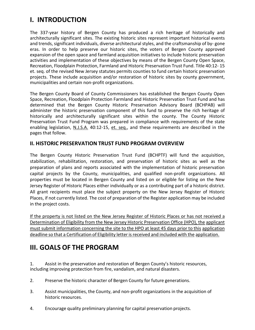## <span id="page-3-0"></span>**I. INTRODUCTION**

The 337-year history of Bergen County has produced a rich heritage of historically and architecturally significant sites. The existing historic sites represent important historical events and trends, significant individuals, diverse architectural styles, and the craftsmanship of by- gone eras. In order to help preserve our historic sites, the voters of Bergen County approved expansion of the open space and farmland acquisition initiatives to include historic preservation activities and implementation of these objectives by means of the Bergen County Open Space, Recreation, Floodplain Protection, Farmland and Historic Preservation Trust Fund. Title 40:12- 15 et. seq. of the revised New Jersey statutes permits counties to fund certain historic preservation projects. These include acquisition and/or restoration of historic sites by county government, municipalities and certain non-profit organizations.

The Bergen County Board of County Commissioners has established the Bergen County Open Space, Recreation, Floodplain Protection Farmland and Historic Preservation Trust Fund and has determined that the Bergen County Historic Preservation Advisory Board (BCHPAB) will administer the historic preservation component of this fund to preserve the rich heritage of historically and architecturally significant sites within the county. The County Historic Preservation Trust Fund Program was prepared in compliance with requirements of the state enabling legislation, N.J.S.A. 40:12-15, et. seq., and these requirements are described in the pages that follow.

## <span id="page-3-1"></span>**II. HISTORIC PRESERVATION TRUST FUND PROGRAM OVERVIEW**

The Bergen County Historic Preservation Trust Fund (BCHPTF) will fund the acquisition, stabilization, rehabilitation, restoration, and preservation of historic sites as well as the preparation of plans and reports associated with the implementation of historic preservation capital projects by the County, municipalities, and qualified non-profit organizations. All properties must be located in Bergen County and listed on or eligible for listing on the New Jersey Register of Historic Places either individually or as a contributing part of a historic district. All grant recipients must place the subject property on the New Jersey Register of Historic Places, if not currently listed. The cost of preparation of the Register application may be included in the project costs.

If the property is not listed on the New Jersey Register of Historic Places or has not received a Determination of Eligibility from the New Jersey Historic Preservation Office (HPO), the applicant must submit information concerning the site to the HPO at least 45 days prior to this application deadline so that a Certification of Eligibility letter is received and included with the application.

## <span id="page-3-2"></span>**III. GOALS OF THE PROGRAM**

1. Assist in the preservation and restoration of Bergen County's historic resources, including improving protection from fire, vandalism, and natural disasters.

- 2. Preserve the historic character of Bergen County for future generations.
- 3. Assist municipalities, the County, and non-profit organizations in the acquisition of historic resources.
- 4. Encourage quality preliminary planning for capital preservation projects.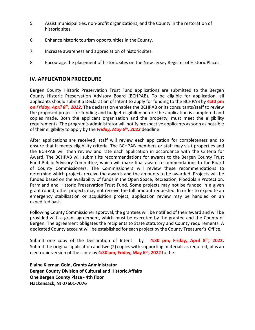- 5. Assist municipalities, non-profit organizations, and the County in the restoration of historic sites.
- 6. Enhance historic tourism opportunities in the County.
- 7. Increase awareness and appreciation of historic sites.
- 8. Encourage the placement of historic sites on the New Jersey Register of HistoricPlaces.

## **IV. APPLICATION PROCEDURE**

Bergen County Historic Preservation Trust Fund applications are submitted to the Bergen County Historic Preservation Advisory Board (BCHPAB). To be eligible for application, all applicants should submit a Declaration of Intent to apply for funding to the BCHPAB by **4:30 pm on** *Friday, April 8th, 2022***.** The declaration enables the BCHPAB or its consultants/staff to review the proposed project for funding and budget eligibility before the application is completed and copies made. Both the applicant organization and the property, must meet the eligibility requirements. The program's administrator will notify prospective applicants as soon as possible of their eligibility to apply by the *Friday, May 6th, 2022* deadline.

After applications are received, staff will review each application for completeness and to ensure that it meets eligibility criteria. The BCHPAB members or staff may visit properties and the BCHPAB will then review and rate each application in accordance with the Criteria for Award. The BCHPAB will submit its recommendations for awards to the Bergen County Trust Fund Public Advisory Committee, which will make final award recommendations to the Board of County Commissioners. The Commissioners will review these recommendations to determine which projects receive the awards and the amounts to be awarded. Projects will be funded based on the availability of funds in the Open Space, Recreation, Floodplain Protection, Farmland and Historic Preservation Trust Fund. Some projects may not be funded in a given grant round; other projects may not receive the full amount requested. In order to expedite an emergency stabilization or acquisition project, application review may be handled on an expedited basis.

Following County Commissioner approval, the grantees will be notified of their award and will be provided with a grant agreement, which must be executed by the grantee and the County of Bergen. The agreement obligates the recipients to State statutory and County requirements. A dedicated County account will be established for each project by the County Treasurer's Office.

Submit one copy of the Declaration of Intent by **4:30 pm, Friday, April 8th, 2022.** Submit the original application and two (2) copies with supporting materials as required, plus an electronic version of the same by **4:30 pm, Friday, May 6th, 2022** to the:

**Elaine Kiernan Gold, Grants Administrator Bergen County Division of Cultural and Historic Affairs One Bergen County Plaza - 4th floor Hackensack, NJ 07601-7076**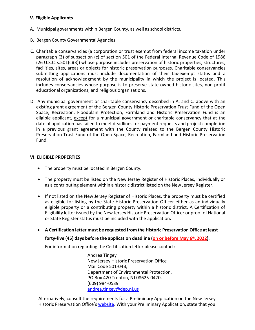#### <span id="page-5-0"></span>**V. Eligible Applicants**

- A. Municipal governments within Bergen County, as well as school districts.
- B. Bergen County Governmental Agencies
- C. Charitable conservancies (a corporation or trust exempt from federal income taxation under paragraph (3) of subsection (c) of section 501 of the Federal Internal Revenue Code of 1986 (26 U.S.C. s.501(c)(3)) whose purpose includes preservation of historic properties, structures, facilities, sites, areas or objects for historic preservation purposes. Charitable conservancies submitting applications must include documentation of their tax-exempt status and a resolution of acknowledgment by the municipality in which the project is located**.** This includes conservancies whose purpose is to preserve state-owned historic sites, non-profit educational organizations, and religious organizations.
- D. Any municipal government or charitable conservancy described in A. and C. above with an existing grant agreement of the Bergen County Historic Preservation Trust Fund of the Open Space, Recreation, Floodplain Protection, Farmland and Historic Preservation Fund is an eligible applicant, except for a municipal government or charitable conservancy that at the date of application has failed to meet deadlines for payment requests and project completion in a previous grant agreement with the County related to the Bergen County Historic Preservation Trust Fund of the Open Space, Recreation, Farmland and Historic Preservation Fund.

### <span id="page-5-1"></span>**VI. ELIGIBLE PROPERTIES**

- The property must be located in Bergen County.
- The property must be listed on the New Jersey Register of Historic Places, individually or as a contributing element within a historic district listed on the New Jersey Register.
- If not listed on the New Jersey Register of Historic Places, the property must be certified as eligible for listing by the State Historic Preservation Officer either as an individually eligible property or a contributing property within a historic district. A Certification of Eligibility letter issued by the New Jersey Historic Preservation Officer or proof of National or State Register status must be included with the application**.**
- **A Certification letter must be requested from the Historic Preservation Office at least**

#### **forty-five (45) days before the application deadline (on or before May 6th, 2022)**.

For information regarding the Certification letter please contact:

Andrea Tingey New Jersey Historic Preservation Office Mail Code 501-04B, Department of Environmental Protection, PO Box 420 Trenton, NJ 08625-0420, (609) 984-0539 [andrea.tingey@dep.nj.us](mailto:andrea.tingey@dep.nj.us)

Alternatively, consult the requirements for a Preliminary Application on the New Jersey Historic Preservation Office's [website.](http://www.nj.gov/dep/hpo/1identify/nrsr_lists.htm) With your Preliminary Application, state that you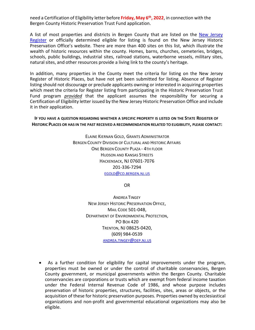need a Certification of Eligibility letter before **Friday, May 6th, 2022**, in connection with the Bergen County Historic Preservation Trust Fund application.

A list of most properties and districts in Bergen County that are listed [on the New](http://www.nj.gov/dep/hpo/1identify/nrsr_lists.htm) Jersey [Register](http://www.nj.gov/dep/hpo/1identify/nrsr_lists.htm) or officially determined eligible for listing is found on the New Jersey Historic Preservation Office's website. There are more than 400 sites on this list, which illustrate the wealth of historic resources within the county. Homes, barns, churches, cemeteries, bridges, schools, public buildings, industrial sites, railroad stations, waterborne vessels, military sites, natural sites, and other resources provide a living link to the county's heritage.

In addition, many properties in the County meet the criteria for listing on the New Jersey Register of Historic Places, but have not yet been submitted for listing. Absence of Register listing should not discourage or preclude applicants owning or interested in acquiring properties which meet the criteria for Register listing from participating in the Historic Preservation Trust Fund program *provided* that the applicant assumes the responsibility for securing a Certification of Eligibility letter issued by the New Jersey Historic Preservation Office and include it in their application.

**IF YOU HAVE A QUESTION REGARDING WHETHER A SPECIFIC PROPERTY IS LISTED ON THE STATE REGISTER OF HISTORIC PLACES OR HAS IN THE PAST RECEIVED A RECOMMENDATION RELATED TO ELIGIBILITY, PLEASE CONTACT:**

> ELAINE KIERNAN GOLD, GRANTS ADMINISTRATOR BERGEN COUNTY DIVISION OF CULTURAL AND HISTORIC AFFAIRS ONE BERGEN COUNTY PLAZA - 4TH FLOOR HUDSON AND KANSAS STREETS HACKENSACK, NJ 07601-7076 201-336-7294 [EGOLD@CO.BERGEN.NJ.US](mailto:EGOLD@CO.BERGEN.NJ.US)

> > [OR](mailto:egold@co.bergen.nj.us)

ANDREA TINGEY NEW JERSEY HISTORIC PRESERVATION OFFICE, MAIL CODE 501-04B, DEPARTMENT OF ENVIRONMENTAL PROTECTION, PO BOX 420 TRENTON, NJ 08625-0420, (609) 984-0539 [ANDREA.TINGEY@DEP.NJ.US](mailto:ANDREA.TINGEY@DEP.NJ.US)

• As a further condition for eligibility for capital improvements under the program, properties must be owned or under the control of charitable conservancies, Bergen County government, or municipal governments within the Bergen County. Charitable conservancies are corporations or trusts which are exempt from federal income taxation under the Federal Internal Revenue Code of 1986, and whose purpose includes preservation of historic properties, structures, facilities, sites, areas or objects, or the acquisition of these for historic preservation purposes. Properties owned by ecclesiastical organizations and non-profit and governmental educational organizations may also be eligible.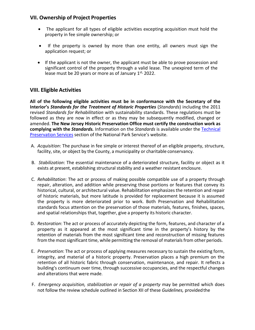## <span id="page-7-0"></span>**VII. Ownership of Project Properties**

- The applicant for all types of eligible activities excepting acquisition must hold the property in fee simple ownership; or
- If the property is owned by more than one entity, all owners must sign the application request; or
- If the applicant is not the owner, the applicant must be able to prove possession and significant control of the property through a valid lease. The unexpired term of the lease must be 20 years or more as of January  $1<sup>st</sup>$ , 2022.

## <span id="page-7-1"></span>**VIII. Eligible Activities**

**All of the following eligible activities must be in conformance with the Secretary of the Interior's** *Standards for the Treatment of Historic Properties* (*Standards*) including the 2011 revised *Standards for Rehabilitation* with sustainability standards. These regulations must be followed as they are now in effect or as they may be subsequently modified, changed or amended. **The New Jersey Historic Preservation Office must certify the construction work as complying with the** *Standards.* Information on the *Standards* is available under the [Technical](http://www.nps.gov/tps/standards.htm) [Preservation](http://www.nps.gov/tps/standards.htm) Services section of the National Park Service's website.

- A. *Acquisition*: The purchase in fee simple or interest thereof of an eligible property, structure, facility, site, or object by the County, a municipality or charitable conservancy.
- B. *Stabilization*: The essential maintenance of a deteriorated structure, facility or object as it exists at present, establishing structural stability and a weather resistant enclosure.
- C. *Rehabilitation*: The act or process of making possible compatible use of a property through repair, alteration, and addition while preserving those portions or features that convey its historical, cultural, or architectural value. Rehabilitation emphasizes the retention and repair of historic materials, but more latitude is provided for replacement because it is assumed the property is more deteriorated prior to work. Both Preservation and Rehabilitation standards focus attention on the preservation of those materials, features, finishes, spaces, and spatial relationships that, together, give a property its historic character.
- D. *Restoration*: The act or process of accurately depicting the form, features, and character of a property as it appeared at the most significant time in the property's history by the retention of materials from the most significant time and reconstruction of missing features from the most significant time, while permitting the removal of materials from other periods.
- E. *Preservation*: The act or process of applying measures necessary to sustain the existing form, integrity, and material of a historic property. Preservation places a high premium on the retention of all historic fabric through conservation, maintenance, and repair. It reflects a building's continuum over time, through successive occupancies, and the respectful changes and alterations that were made.
- F. *Emergency acquisition, stabilization or repair of a property* may be permitted which does not follow the review schedule outlined in Section XII of these *Guidelines,* providedthe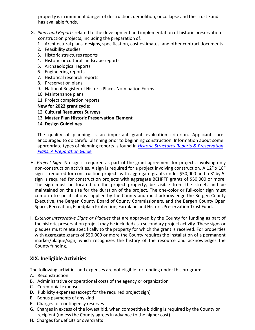property is in imminent danger of destruction, demolition, or collapse and the Trust Fund has available funds.

- G. *Plans and Reports* related to the development and implementation of historic preservation construction projects, including the preparation of:
	- 1. Architectural plans, designs, specification, cost estimates, and other contract documents
	- 2. Feasibility studies
	- 3. Historic structures reports
	- 4. Historic or cultural landscape reports
	- 5. Archaeological reports
	- 6. Engineering reports
	- 7. Historical research reports
	- 8. Preservation plans
	- 9. National Register of Historic Places Nomination Forms
	- 10. Maintenance plans
	- 11. Project completion reports

### **New for 2022 grant cycle:**

- 12. **Cultural Resources Surveys**
- 13. **Master Plan Historic Preservation Element**
- 14. **Design Guidelines**

The quality of planning is an important grant evaluation criterion. Applicants are encouraged to do careful planning prior to beginning construction. Information about some appropriate types of planning reports is found in *[Historic Structures Reports & Preservation](http://www.state.nj.us/dep/hpo/4sustain/preparehsr.pdf) Plans: A [Preparation Guide.](http://www.state.nj.us/dep/hpo/4sustain/preparehsr.pdf)*

- H. *Project Sign*: No sign is required as part of the grant agreement for projects involving only non-construction activities. A sign is required for a project involving construction. A 12" x 18" sign is required for construction projects with aggregate grants under \$50,000 and a 3' by 5' sign is required for construction projects with aggregate BCHPTF grants of \$50,000 or more. The sign must be located on the project property, be visible from the street, and be maintained on the site for the duration of the project. The one-color or full-color sign must conform to specifications supplied by the County and must acknowledge the Bergen County Executive, the Bergen County Board of County Commissioners, and the Bergen County Open Space, Recreation, Floodplain Protection, Farmland and Historic Preservation Trust Fund.
- I. *Exterior Interpretive Signs or Plaques* that are approved by the County for funding as part of the historic preservation project may be included as a secondary project activity. These signs or plaques must relate specifically to the property for which the grant is received. For properties with aggregate grants of \$50,000 or more the County requires the installation of a permanent marker/plaque/sign, which recognizes the history of the resource and acknowledges the County funding.

## <span id="page-8-0"></span>**XIX. Ineligible Activities**

The following activities and expenses are not eligible for funding under this program:

- A. Reconstruction
- B. Administrative or operational costs of the agency or organization
- C. Ceremonial expenses
- D. Publicity expenses (except for the required project sign)
- E. Bonus payments of any kind
- F. Charges for contingency reserves
- G. Charges in excess of the lowest bid, when competitive bidding is required by the County or recipient (unless the County agrees in advance to the higher cost)
- H. Charges for deficits or overdrafts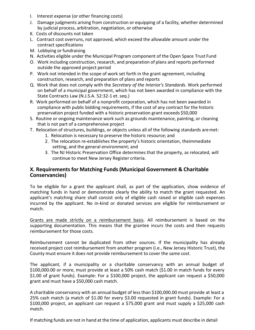- I. Interest expense (or other financing costs)
- J. Damage judgments arising from construction or equipping of a facility, whether determined by judicial process, arbitration, negotiation, or otherwise
- K. Costs of discounts not taken
- L. Contract cost overruns, not approved, which exceed the allowable amount under the contract specifications
- M. Lobbying or fundraising
- N. Activities eligible under the Municipal Program component of the Open Space Trust Fund
- O. Work including construction, research, and preparation of plans and reports performed outside the approved project period
- P. Work not intended in the scope of work set forth in the grant agreement, including construction, research, and preparation of plans and reports
- Q. Work that does not comply with the *Secretary of the Interior's Standards*. Work performed on behalf of a municipal government, which has not been awarded in compliance with the State Contracts Law (N.J.S.A. 52:32-1 et. seq.)
- R. Work performed on behalf of a nonprofit corporation, which has not been awarded in compliance with public bidding requirements, if the cost of any contract for the historic preservation project funded with a historic preservation grant exceeds \$50,000
- S. Routine or ongoing maintenance work such as grounds maintenance, painting, or cleaning that is not part of a comprehensive project
- T. Relocation of structures, buildings, or objects unless all of the following standards aremet:
	- 1. Relocation is necessary to preserve the historic resource; and
		- 2. The relocation re-establishes the property's historic orientation, theimmediate setting, and the general environment; and
		- 3. The NJ Historic Preservation Office determines that the property, as relocated, will continue to meet New Jersey Register criteria.

## **X. Requirements for Matching Funds (Municipal Government & Charitable Conservancies)**

To be eligible for a grant the applicant shall, as part of the application, show evidence of matching funds in hand or demonstrate clearly the ability to match the grant requested. An applicant's matching share shall consist only of eligible cash raised or eligible cash expenses incurred by the applicant. No in-kind or donated services are eligible for reimbursement or match.

Grants are made strictly on a reimbursement basis. All reimbursement is based on the supporting documentation. This means that the grantee incurs the costs and then requests reimbursement for those costs.

Reimbursement cannot be duplicated from other sources. If the municipality has already received project cost reimbursement from another program (i.e., New Jersey Historic Trust), the County must ensure it does not provide reimbursement to cover the same cost.

The applicant, if a municipality or a charitable conservancy with an annual budget of \$100,000.00 or more, must provide at least a 50% cash match (\$1.00 in match funds for every \$1.00 of grant funds). Example: For a \$100,000 project, the applicant can request a \$50,000 grant and must have a \$50,000 cash match.

A charitable conservancy with an annual budget of less than \$100,000.00 must provide at least a 25% cash match (a match of \$1.00 for every \$3.00 requested in grant funds). Example: For a \$100,000 project, an applicant can request a \$75,000 grant and must supply a \$25,000 cash match.

If matching funds are not in hand at the time of application, applicants must describe in detail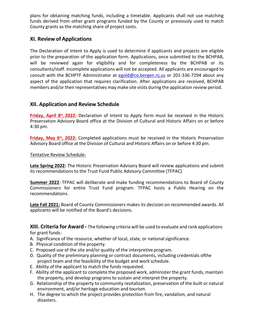plans for obtaining matching funds, including a timetable. Applicants shall not use matching funds derived from other grant programs funded by the County or previously used to match County grants as the matching share of project costs.

## <span id="page-10-0"></span>**XI. Review of Applications**

The Declaration of Intent to Apply is used to determine if applicants and projects are eligible prior to the preparation of the application form. Applications, once submitted to the BCHPAB, will be reviewed again for eligibility and for completeness by the BCHPAB or its consultants/staff. Incomplete applications will not be accepted. All applicants are encouraged to consult with the BCHPTF Administrator at [egold@co.bergen.nj.us](mailto:egold@co.bergen.nj.us) or 201-336-7294 about any aspect of the application that requires clarification. After applications are received, BCHPAB members and/or their representatives may make site visits during the application review period.

## <span id="page-10-1"></span>**XII. Application and Review Schedule**

**Friday, April 8th, 2022:** Declaration of Intent to Apply form must be received in the Historic Preservation Advisory Board office at the Division of Cultural and Historic Affairs on or before 4:30 pm.

**Friday, May 6th, 2022:** Completed applications must be received in the Historic Preservation Advisory Board office at the Division of Cultural and Historic Affairs on or before 4:30 pm.

### Tentative Review Schedule:

**Late Spring 2022:** The Historic Preservation Advisory Board will review applications and submit its recommendations to the Trust Fund Public Advisory Committee (TFPAC)

**Summer 2022**: TFPAC will deliberate and make funding recommendations to Board of County Commissioners for entire Trust Fund program. TFPAC hosts a Public Hearing on the recommendations.

**Late Fall 2021:** Board of County Commissioners makes its decision on recommended awards. All applicants will be notified of the Board's decisions.

**XIII. Criteria for Award -** The following criteria will be used to evaluate and rank applications for grant funds:

- A. Significance of the resource, whether of local, state, or national significance.
- B. Physical condition of the property.
- C. Proposed use of the site and/or quality of the interpretive program.
- D. Quality of the preliminary planning or contract documents, including credentials ofthe project team and the feasibility of the budget and work schedule.
- E. Ability of the applicant to match the funds requested.
- F. Ability of the applicant to complete the proposed work, administer the grant funds, maintain the property, and develop programs to sustain and interpret the property.
- G. Relationship of the property to community revitalization, preservation of the built or natural environment, and/or heritage education and tourism.
- H. The degree to which the project provides protection from fire, vandalism, and natural disasters.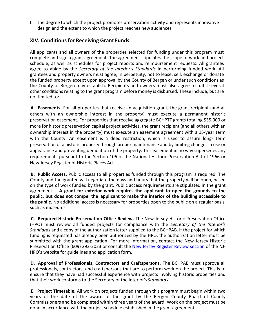I. The degree to which the project promotes preservation activity and represents innovative design and the extent to which the project reaches new audiences.

## <span id="page-11-0"></span>**XIV. Conditionsfor Receiving Grant Funds**

All applicants and all owners of the properties selected for funding under this program must complete and sign a grant agreement. The agreement stipulates the scope of work and project schedule, as well as schedules for project reports and reimbursement requests. All grantees agree to abide by the *Secretary of the Interior's Standards* in performing funded work. All grantees and property owners must agree, in perpetuity, not to lease, sell, exchange or donate the funded property except upon approval by the County of Bergen or under such conditions as the County of Bergen may establish. Recipients and owners must also agree to fulfill several other conditions relating to the grant program before money is disbursed. These include, but are not limited to:

**A. Easements.** For all properties that receive an acquisition grant, the grant recipient (and all others with an ownership interest in the property) must execute a permanent historic preservation easement**.** For properties that receive aggregate BCHPTF grants totaling \$35,000 or more for historic preservation capital project activities, the grant recipient (and all others with an ownership interest in the property) must execute an easement agreement with a 15-year term with the County. An easement is a deed restriction, which is used to assure long- term preservation of a historic property through proper maintenance and by limiting changes in use or appearance and preventing demolition of the property. This easement in no way supersedes any requirements pursuant to the Section 106 of the National Historic Preservation Act of 1966 or New Jersey Register of Historic Places Act.

**B. Public Access.** Public access to all properties funded through this program is required. The County and the grantee will negotiate the days and hours that the property will be open, based on the type of work funded by the grant. Public access requirements are stipulated in the grant agreement. **A grant for exterior work requires the applicant to open the grounds to the public, but does not compel the applicant to make the interior of the building accessible to the public.** No additional access is necessary for properties open to the public on a regular basis, such as museums.

**C. Required Historic Preservation Office Review.** The New Jersey Historic Preservation Office (HPO) must review all funded projects for compliance with the *Secretary of the Interior's Standards* and a copy of the authorization letter supplied to the BCHPAB. If the project for which funding is requested has already been authorized by the HPO, the authorization letter must be submitted with the grant application. For more information, contact the New Jersey Historic Preservation Office (609) 292-2023 or consult the New Jers[ey Register Review section](http://www.state.nj.us/dep/hpo/2protection/njrrevew.htm) of the NJ-HPO's website for guidelines and application form.

**D. Approval of Professionals, Contractors and Craftspersons.** The BCHPAB must approve all professionals, contractors, and craftspersons that are to perform work on the project. This is to ensure that they have had successful experience with projects involving historic properties and that their work conforms to the Secretary of the Interior's *Standards.*

**E. Project Timetable.** All work on projects funded through this program must begin within two years of the date of the award of the grant by the Bergen County Board of County Commissioners and be completed within three years of the award. Work on the project must be done in accordance with the project schedule established in the grant agreement.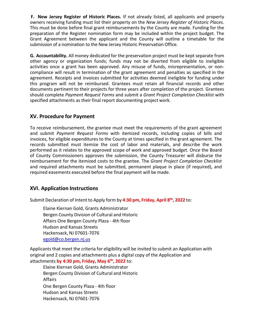**F. New Jersey Register of Historic Places.** If not already listed, all applicants and property owners receiving funding must list their property on the *New Jersey Register of Historic Places*. This must be done before final grant reimbursements by the County are made. Funding for the preparation of the Register nomination form may be included within the project budget. The Grant Agreement between the applicant and the County will outline a timetable for the submission of a nomination to the New Jersey Historic Preservation Office.

**G. Accountability.** All money dedicated for the preservation project must be kept separate from other agency or organization funds; funds may not be diverted from eligible to ineligible activities once a grant has been approved. Any misuse of funds, misrepresentation, or noncompliance will result in termination of the grant agreement and penalties as specified in the agreement. Receipts and invoices submitted for activities deemed ineligible for funding under this program will not be reimbursed. Grantees must retain all financial records and other documents pertinent to their projects for three years after completion of the project. Grantees should complete *Payment Request Forms* and submit a *Grant Project Completion Checklist* with specified attachments as their final report documenting project work.

## <span id="page-12-0"></span>**XV. Procedure for Payment**

To receive reimbursement, the grantee must meet the requirements of the grant agreement and submit *Payment Request Forms* with itemized records, including copies of bills and invoices, for eligible expenditures to the County at times specified in the grant agreement. The records submitted must itemize the cost of labor and materials, and describe the work performed as it relates to the approved scope of work and approved budget. Once the Board of County Commissioners approves the submission, the County Treasurer will disburse the reimbursement for the itemized costs to the grantee. The *Grant Project Completion Checklist* and required attachments must be submitted, permanent plaque in place (if required), and required easements executed before the final payment will be made.

## <span id="page-12-1"></span>**XVI. Application Instructions**

Submit Declaration of Intent to Apply form by **4:30 pm, Friday, April 8th, 2022** to:

Elaine Kiernan Gold, Grants Administrator Bergen County Division of Cultural and Historic Affairs One Bergen County Plaza - 4th floor Hudson and Kansas Streets Hackensack, NJ 07601-7076 [egold@co.bergen.nj.us](mailto:egold@co.bergen.nj.us)

Applicants that meet the criteria for eligibility will be invited to submit an Application with original and 2 copies and attachments plus a digital copy of the Application and attachments **by 4:30 pm, Friday, May 6th, 2022** to:

Elaine Kiernan Gold, Grants Administrator Bergen County Division of Cultural and Historic Affairs One Bergen County Plaza - 4th floor Hudson and Kansas Streets Hackensack, NJ 07601-7076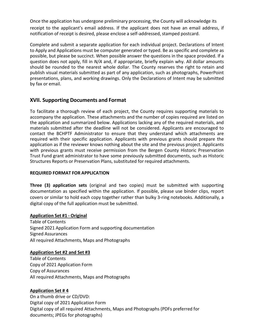Once the application has undergone preliminary processing, the County will acknowledge its receipt to the applicant's email address. If the applicant does not have an email address, if notification of receipt is desired, please enclose a self-addressed, stamped postcard.

Complete and submit a separate application for each individual project. Declarations of Intent to Apply and Applications must be computer generated or typed. Be as specific and complete as possible, but please be succinct. When possible answer the questions in the space provided. If a question does not apply, fill in *N/A* and, if appropriate, briefly explain why. All dollar amounts should be rounded to the nearest whole dollar. The County reserves the right to retain and publish visual materials submitted as part of any application, such as photographs, PowerPoint presentations, plans, and working drawings. Only the Declarations of Intent may be submitted by fax or email.

## <span id="page-13-0"></span>**XVII. Supporting Documents and Format**

To facilitate a thorough review of each project, the County requires supporting materials to accompany the application. These attachments and the number of copies required are listed on the application and summarized below. Applications lacking any of the required materials, and materials submitted after the deadline will not be considered. Applicants are encouraged to contact the BCHPTF Administrator to ensure that they understand which attachments are required with their specific application. Applicants with previous grants should prepare the application as if the reviewer knows nothing about the site and the previous project. Applicants with previous grants must receive permission from the Bergen County Historic Preservation Trust Fund grant administrator to have some previously submitted documents, such as Historic Structures Reports or Preservation Plans, substituted for required attachments.

#### <span id="page-13-1"></span>**REQUIRED FORMAT FOR APPLICATION**

**Three (3) application sets** (original and two copies) must be submitted with supporting documentation as specified within the application. If possible, please use binder clips, report covers or similar to hold each copy together rather than bulky 3-ring notebooks. Additionally, a digital copy of the full application must be submitted.

#### **Application Set #1 - Original**

Table of Contents Signed 2021 Application Form and supporting documentation Signed Assurances All required Attachments, Maps and Photographs

#### **Application Set #2 and Set #3**

Table of Contents Copy of 2021 Application Form Copy of Assurances All required Attachments, Maps and Photographs

#### **Application Set # 4**

On a thumb drive or CD/DVD: Digital copy of 2021 Application Form Digital copy of all required Attachments, Maps and Photographs (PDFs preferred for documents; JPEGs for photographs)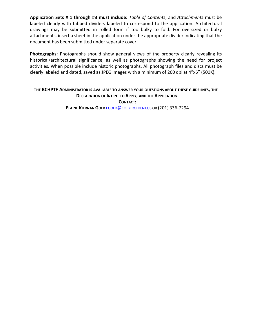**Application Sets # 1 through #3 must include:** *Table of Contents*, and *Attachments* must be labeled clearly with tabbed dividers labeled to correspond to the application. Architectural drawings may be submitted in rolled form if too bulky to fold. For oversized or bulky attachments, insert a sheet in the application under the appropriate divider indicating that the document has been submitted under separate cover.

**Photographs:** Photographs should show general views of the property clearly revealing its historical/architectural significance, as well as photographs showing the need for project activities. When possible include historic photographs. All photograph files and discs must be clearly labeled and dated, saved as JPEG images with a minimum of 200 dpi at 4"x6" (500K).

## **THE BCHPTF ADMINISTRATOR IS AVAILABLE TO ANSWER YOUR QUESTIONS ABOUT THESE GUIDELINES, THE DECLARATION OF INTENT TO APPLY, AND THE APPLICATION. CONTACT:**

**ELAINE KIERNAN GOLD** [EGOLD@CO.BERGEN.NJ.US](mailto:egold@co.bergen.nj.us) OR (201) 336-7294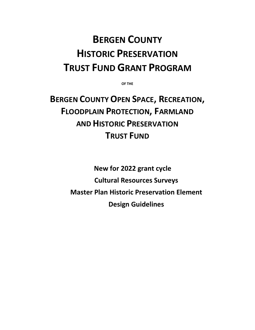# **BERGEN COUNTY HISTORIC PRESERVATION TRUST FUND GRANT PROGRAM**

**OF THE**

**BERGEN COUNTY OPEN SPACE, RECREATION, FLOODPLAIN PROTECTION, FARMLAND AND HISTORIC PRESERVATION TRUST FUND**

> **New for 2022 grant cycle Cultural Resources Surveys Master Plan Historic Preservation Element Design Guidelines**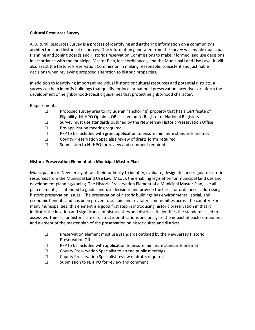#### **Cultural Resources Survey**

A Cultural Resources Survey is a process of identifying and gathering information on a community's architectural and historical resources. The information generated from the survey will enable municipal Planning and Zoning Boards and Historic Preservation Commissions to make informed land use decisions in accordance with the municipal Master Plan, local ordinances, and the Municipal Land Use Law. It will also assist the Historic Preservation Commission in making reasonable, consistent and justifiable decisions when reviewing proposed alteration to historic properties.

In addition to identifying important individual historic or cultural resources and potential districts, a survey can help identify buildings that qualify for local or national preservation incentives or inform the development of neighborhood-specific guidelines that protect neighborhood character.

#### Requirements:

- $\square$  Proposed survey area to include an "anchoring" property that has a Certificate of Eligibility, NJ-HPO Opinion, OR is listed on NJ Register or National Registers
- $\square$  Survey must use standards outlined by the New Jersey Historic Preservation Office <br> $\square$  Pre-application meeting required
- $\Box$  Pre-application meeting required<br> $\Box$  RFP to be included with grant app
- $\square$  RFP to be included with grant application to ensure minimum standards are met County Preservation Specialist review of drafts forms required
- County Preservation Specialist review of drafts forms required
- □ Submission to NJ-HPO for review and comment required

#### **Historic Preservation Element of a Municipal Master Plan**

Municipalities in New Jersey obtain their authority to identify, evaluate, designate, and regulate historic resources from the Municipal Land Use Law (MLUL), the enabling legislation for municipal land use and development planning/zoning. The Historic Preservation Element of a Municipal Master Plan, like all plan elements, is intended to guide land-use decisions and provide the basis for ordinances addressing historic preservation issues. The preservation of historic buildings has environmental, social, and economic benefits and has been proven to sustain and revitalize communities across the country. For many municipalities, this element is a good first step in introducing historic preservation in that it indicates the location and significance of historic sites and districts, it identifies the standards used to assess worthiness for historic site or district identifications and analyses the impact of each component and element of the master plan of the preservation on historic sites and districts.

- □ Preservation element must use standards outlined by the New Jersey Historic Preservation Office
- □ RFP to be included with application to ensure minimum standards are met
- □ County Preservation Specialist to attend public meetings
- □ County Preservation Specialist review of drafts required
- $\nabla$  Submission to NJ-HPO for review and comment